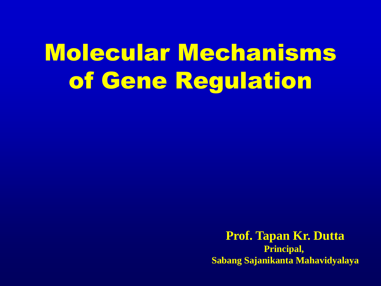# Molecular Mechanisms of Gene Regulation

**Prof. Tapan Kr. Dutta Principal, Sabang Sajanikanta Mahavidyalaya**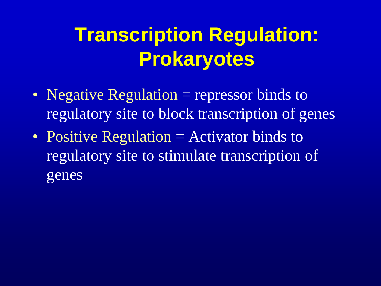# **Transcription Regulation: Prokaryotes**

- Negative Regulation = repressor binds to regulatory site to block transcription of genes
- Positive Regulation = Activator binds to regulatory site to stimulate transcription of genes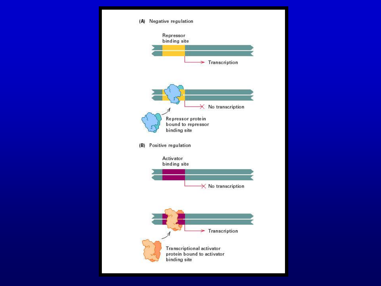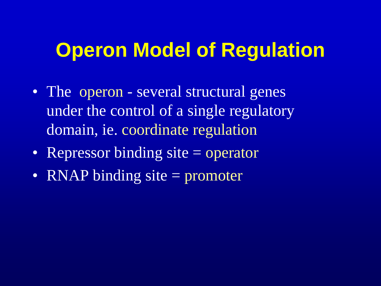#### **Operon Model of Regulation**

- The operon several structural genes under the control of a single regulatory domain, ie. coordinate regulation
- Repressor binding site = operator
- RNAP binding site = promoter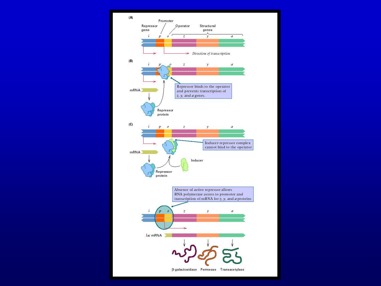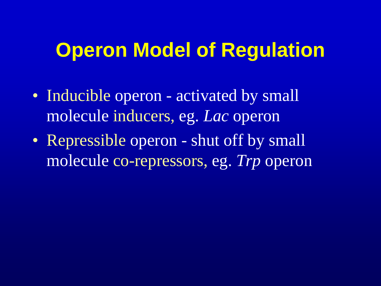#### **Operon Model of Regulation**

- Inducible operon activated by small molecule inducers, eg. *Lac* operon
- Repressible operon shut off by small molecule co-repressors, eg. *Trp* operon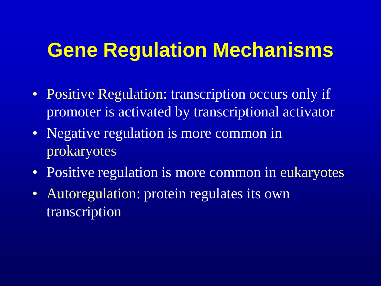#### **Gene Regulation Mechanisms**

- Positive Regulation: transcription occurs only if promoter is activated by transcriptional activator
- Negative regulation is more common in prokaryotes
- Positive regulation is more common in eukaryotes
- Autoregulation: protein regulates its own transcription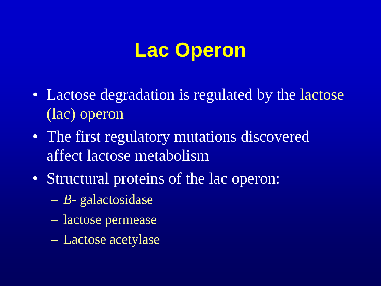- Lactose degradation is regulated by the lactose (lac) operon
- The first regulatory mutations discovered affect lactose metabolism
- Structural proteins of the lac operon:
	- *B-* galactosidase
	- lactose permease
	- Lactose acetylase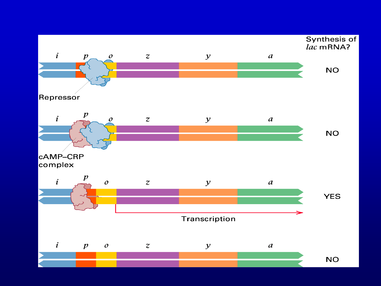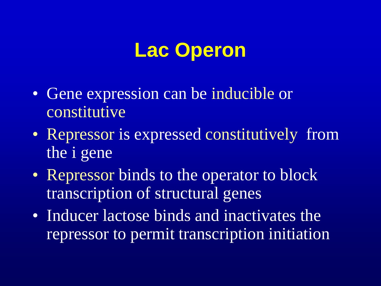- Gene expression can be inducible or constitutive
- Repressor is expressed constitutively from the i gene
- Repressor binds to the operator to block transcription of structural genes
- Inducer lactose binds and inactivates the repressor to permit transcription initiation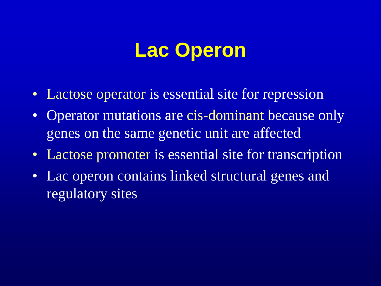- Lactose operator is essential site for repression
- Operator mutations are cis-dominant because only genes on the same genetic unit are affected
- Lactose promoter is essential site for transcription
- Lac operon contains linked structural genes and regulatory sites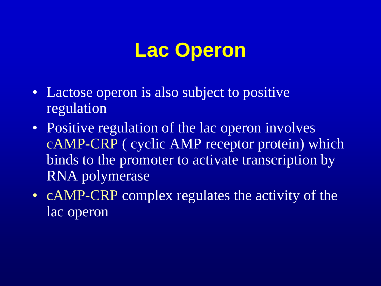- Lactose operon is also subject to positive regulation
- Positive regulation of the lac operon involves cAMP-CRP ( cyclic AMP receptor protein) which binds to the promoter to activate transcription by RNA polymerase
- cAMP-CRP complex regulates the activity of the lac operon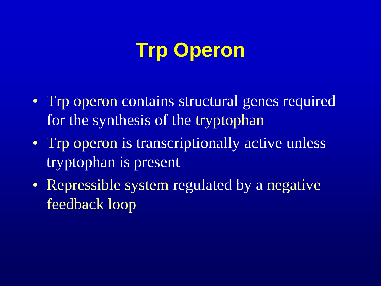## **Trp Operon**

- Trp operon contains structural genes required for the synthesis of the tryptophan
- Trp operon is transcriptionally active unless tryptophan is present
- Repressible system regulated by a negative feedback loop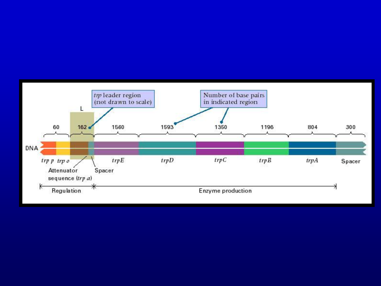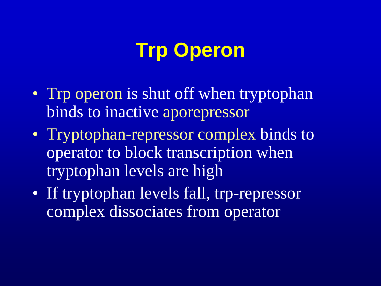## **Trp Operon**

- Trp operon is shut off when tryptophan binds to inactive aporepressor
- Tryptophan-repressor complex binds to operator to block transcription when tryptophan levels are high
- If tryptophan levels fall, trp-repressor complex dissociates from operator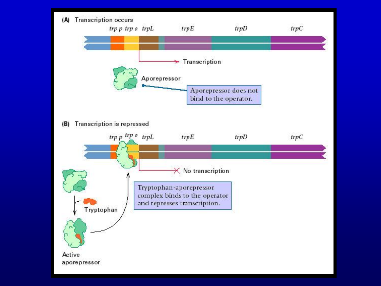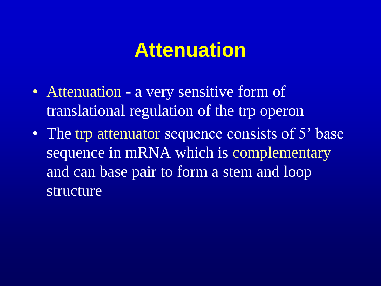#### **Attenuation**

- Attenuation a very sensitive form of translational regulation of the trp operon
- The trp attenuator sequence consists of 5' base sequence in mRNA which is complementary and can base pair to form a stem and loop structure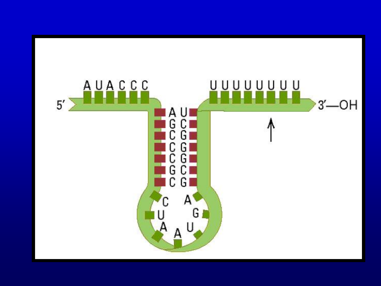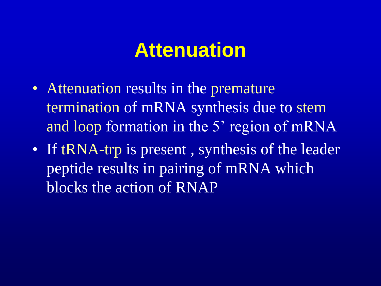#### **Attenuation**

- Attenuation results in the premature termination of mRNA synthesis due to stem and loop formation in the 5' region of mRNA
- If tRNA-trp is present, synthesis of the leader peptide results in pairing of mRNA which blocks the action of RNAP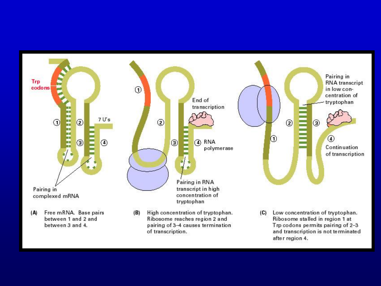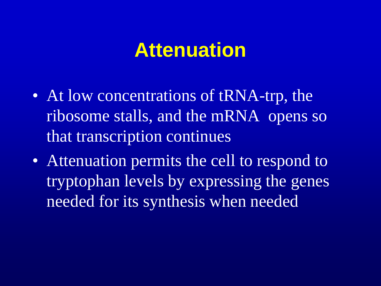#### **Attenuation**

- At low concentrations of tRNA-trp, the ribosome stalls, and the mRNA opens so that transcription continues
- Attenuation permits the cell to respond to tryptophan levels by expressing the genes needed for its synthesis when needed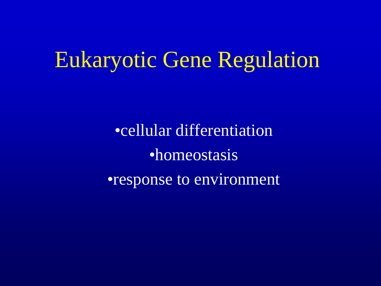## Eukaryotic Gene Regulation

•cellular differentiation •homeostasis •response to environment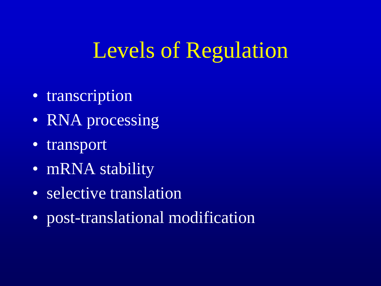# Levels of Regulation

- transcription
- RNA processing
- transport
- mRNA stability
- selective translation
- post-translational modification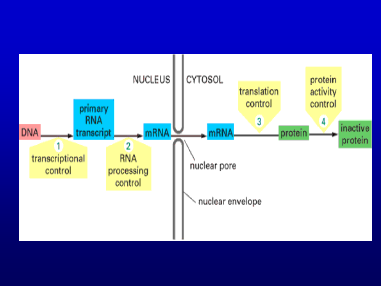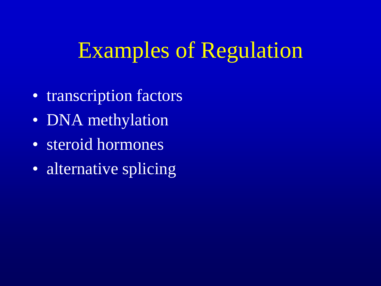# Examples of Regulation

- transcription factors
- DNA methylation
- steroid hormones
- alternative splicing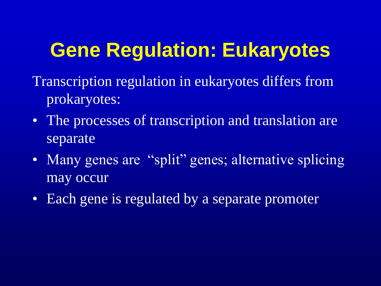## **Gene Regulation: Eukaryotes**

- Transcription regulation in eukaryotes differs from prokaryotes:
- The processes of transcription and translation are separate
- Many genes are "split" genes; alternative splicing may occur
- Each gene is regulated by a separate promoter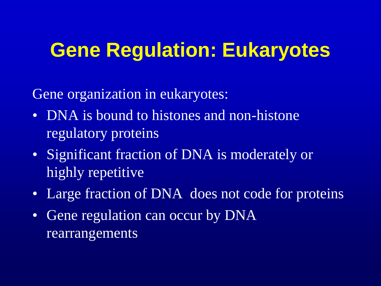#### **Gene Regulation: Eukaryotes**

Gene organization in eukaryotes:

- DNA is bound to histones and non-histone regulatory proteins
- Significant fraction of DNA is moderately or highly repetitive
- Large fraction of DNA does not code for proteins
- Gene regulation can occur by DNA rearrangements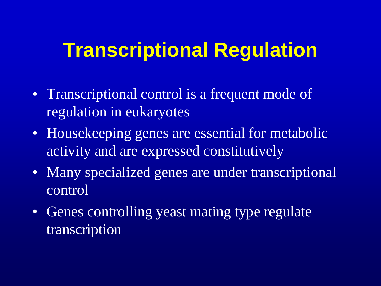#### **Transcriptional Regulation**

- Transcriptional control is a frequent mode of regulation in eukaryotes
- Housekeeping genes are essential for metabolic activity and are expressed constitutively
- Many specialized genes are under transcriptional control
- Genes controlling yeast mating type regulate transcription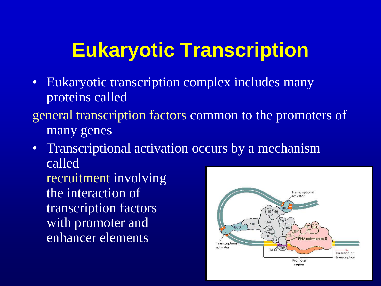## **Eukaryotic Transcription**

- Eukaryotic transcription complex includes many proteins called
- general transcription factors common to the promoters of many genes
- Transcriptional activation occurs by a mechanism called recruitment involving the interaction of Transcriptional etivator transcription factors  $40\,$  60 with promoter and 250  $6CD$ enhancer elements**RNA polymerase II** Transcription TATA TBP activator

Direction of transcription

Promoter region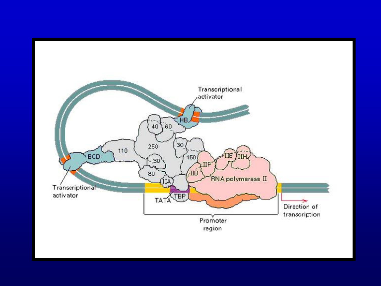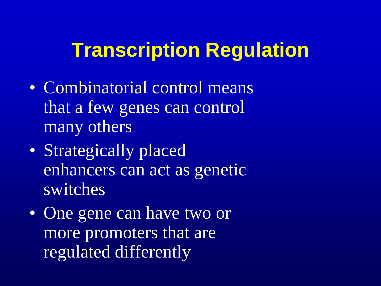#### **Transcription Regulation**

- Combinatorial control means that a few genes can control many others
- Strategically placed enhancers can act as genetic switches
- One gene can have two or more promoters that are regulated differently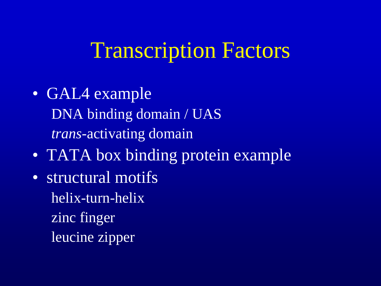## Transcription Factors

- GAL4 example DNA binding domain / UAS *trans-*activating domain
- TATA box binding protein example
- structural motifs helix-turn-helix zinc finger leucine zipper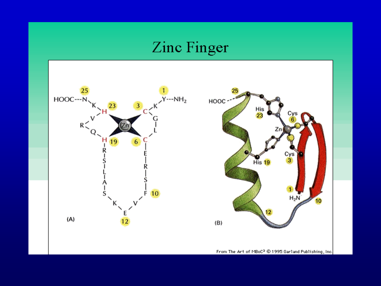#### Zinc Finger

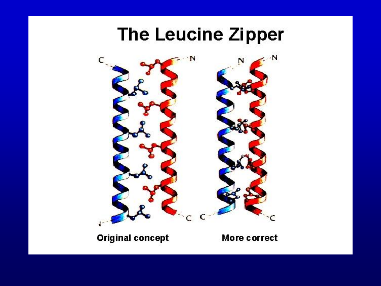#### The Leucine Zipper



#### **Original concept**

#### More correct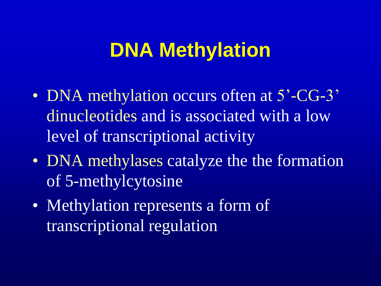#### **DNA Methylation**

- DNA methylation occurs often at 5'-CG-3' dinucleotides and is associated with a low level of transcriptional activity
- DNA methylases catalyze the the formation of 5-methylcytosine
- Methylation represents a form of transcriptional regulation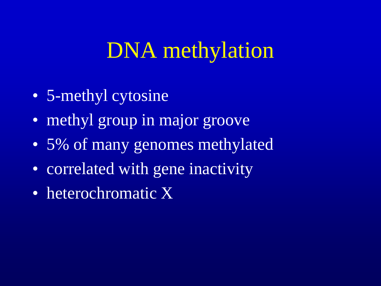## DNA methylation

- 5-methyl cytosine
- methyl group in major groove
- 5% of many genomes methylated
- correlated with gene inactivity
- heterochromatic X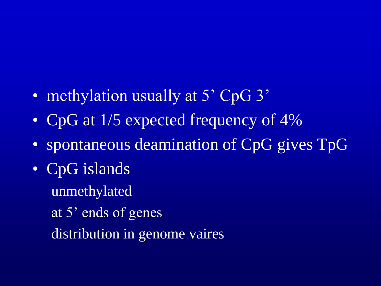- methylation usually at 5' CpG 3'
- CpG at 1/5 expected frequency of 4%
- spontaneous deamination of CpG gives TpG
- CpG islands
	- unmethylated
	- at 5' ends of genes
	- distribution in genome vaires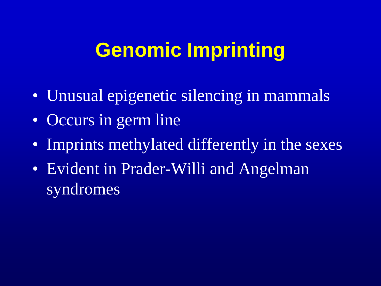## **Genomic Imprinting**

- Unusual epigenetic silencing in mammals
- Occurs in germ line
- Imprints methylated differently in the sexes
- Evident in Prader-Willi and Angelman syndromes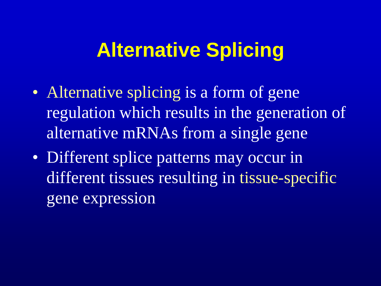#### **Alternative Splicing**

- Alternative splicing is a form of gene regulation which results in the generation of alternative mRNAs from a single gene
- Different splice patterns may occur in different tissues resulting in tissue-specific gene expression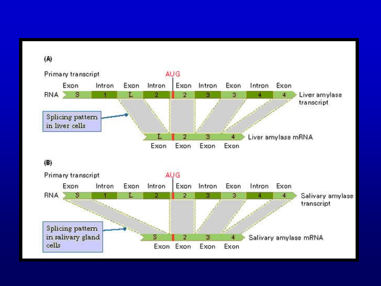$(A)$ 



#### $(B)$

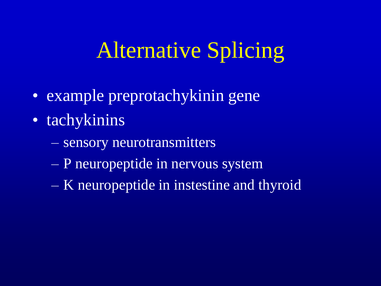## Alternative Splicing

- example preprotachykinin gene
- tachykinins
	- sensory neurotransmitters
	- P neuropeptide in nervous system
	- K neuropeptide in instestine and thyroid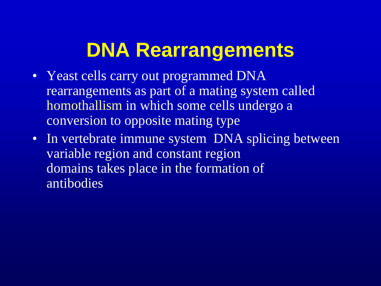## **DNA Rearrangements**

- Yeast cells carry out programmed DNA rearrangements as part of a mating system called homothallism in which some cells undergo a conversion to opposite mating type
- In vertebrate immune system DNA splicing between variable region and constant region domains takes place in the formation of antibodies